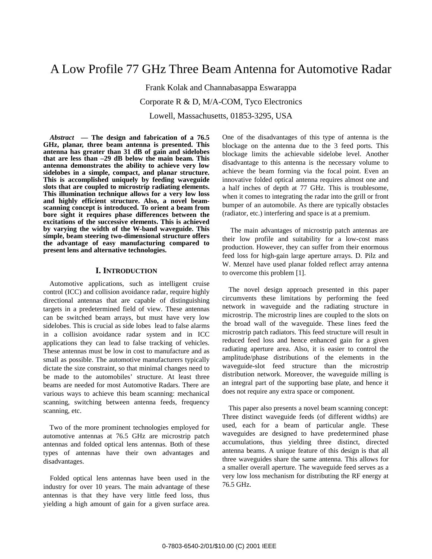# A Low Profile 77 GHz Three Beam Antenna for Automotive Radar

Frank Kolak and Channabasappa Eswarappa Corporate R & D, M/A-COM, Tyco Electronics Lowell, Massachusetts, 01853-3295, USA

*Abstract* **— The design and fabrication of a 76.5 GHz, planar, three beam antenna is presented. This antenna has greater than 31 dB of gain and sidelobes that are less than –29 dB below the main beam. This antenna demonstrates the ability to achieve very low sidelobes in a simple, compact, and planar structure. This is accomplished uniquely by feeding waveguide slots that are coupled to microstrip radiating elements. This illumination technique allows for a very low loss and highly efficient structure. Also, a novel beamscanning concept is introduced. To orient a beam from bore sight it requires phase differences between the excitations of the successive elements. This is achieved by varying the width of the W-band waveguide. This simple, beam steering two-dimensional structure offers the advantage of easy manufacturing compared to present lens and alternative technologies.** 

# **I. INTRODUCTION**

Automotive applications, such as intelligent cruise control (ICC) and collision avoidance radar, require highly directional antennas that are capable of distinguishing targets in a predetermined field of view. These antennas can be switched beam arrays, but must have very low sidelobes. This is crucial as side lobes lead to false alarms in a collision avoidance radar system and in ICC applications they can lead to false tracking of vehicles. These antennas must be low in cost to manufacture and as small as possible. The automotive manufacturers typically dictate the size constraint, so that minimal changes need to be made to the automobiles' structure. At least three beams are needed for most Automotive Radars. There are various ways to achieve this beam scanning: mechanical scanning, switching between antenna feeds, frequency scanning, etc.

Two of the more prominent technologies employed for automotive antennas at 76.5 GHz are microstrip patch antennas and folded optical lens antennas. Both of these types of antennas have their own advantages and disadvantages.

Folded optical lens antennas have been used in the industry for over 10 years. The main advantage of these antennas is that they have very little feed loss, thus yielding a high amount of gain for a given surface area.

One of the disadvantages of this type of antenna is the blockage on the antenna due to the 3 feed ports. This blockage limits the achievable sidelobe level. Another disadvantage to this antenna is the necessary volume to achieve the beam forming via the focal point. Even an innovative folded optical antenna requires almost one and a half inches of depth at 77 GHz. This is troublesome, when it comes to integrating the radar into the grill or front bumper of an automobile. As there are typically obstacles (radiator, etc.) interfering and space is at a premium.

 The main advantages of microstrip patch antennas are their low profile and suitability for a low-cost mass production. However, they can suffer from their enormous feed loss for high-gain large aperture arrays. D. Pilz and W. Menzel have used planar folded reflect array antenna to overcome this problem [1].

The novel design approach presented in this paper circumvents these limitations by performing the feed network in waveguide and the radiating structure in microstrip. The microstrip lines are coupled to the slots on the broad wall of the waveguide. These lines feed the microstrip patch radiators. This feed structure will result in reduced feed loss and hence enhanced gain for a given radiating aperture area. Also, it is easier to control the amplitude/phase distributions of the elements in the waveguide-slot feed structure than the microstrip distribution network. Moreover, the waveguide milling is an integral part of the supporting base plate, and hence it does not require any extra space or component.

This paper also presents a novel beam scanning concept: Three distinct waveguide feeds (of different widths) are used, each for a beam of particular angle. These waveguides are designed to have predetermined phase accumulations, thus yielding three distinct, directed antenna beams. A unique feature of this design is that all three waveguides share the same antenna. This allows for a smaller overall aperture. The waveguide feed serves as a very low loss mechanism for distributing the RF energy at 76.5 GHz.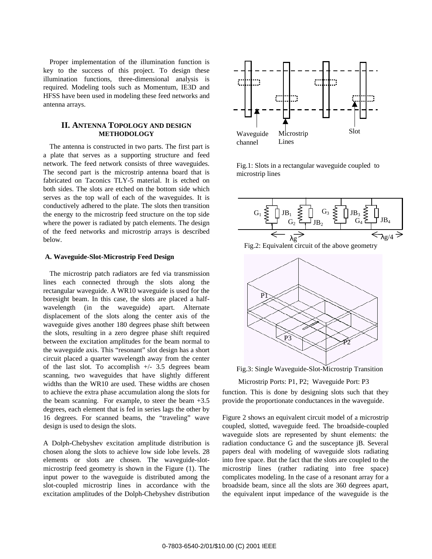Proper implementation of the illumination function is key to the success of this project. To design these illumination functions, three-dimensional analysis is required. Modeling tools such as Momentum, IE3D and HFSS have been used in modeling these feed networks and antenna arrays.

# **II. ANTENNA TOPOLOGY AND DESIGN METHODOLOGY**

The antenna is constructed in two parts. The first part is a plate that serves as a supporting structure and feed network. The feed network consists of three waveguides. The second part is the microstrip antenna board that is fabricated on Taconics TLY-5 material. It is etched on both sides. The slots are etched on the bottom side which serves as the top wall of each of the waveguides. It is conductively adhered to the plate. The slots then transition the energy to the microstrip feed structure on the top side where the power is radiated by patch elements. The design of the feed networks and microstrip arrays is described below.

#### **A. Waveguide-Slot-Microstrip Feed Design**

The microstrip patch radiators are fed via transmission lines each connected through the slots along the rectangular waveguide. A WR10 waveguide is used for the boresight beam. In this case, the slots are placed a halfwavelength (in the waveguide) apart. Alternate displacement of the slots along the center axis of the waveguide gives another 180 degrees phase shift between the slots, resulting in a zero degree phase shift required between the excitation amplitudes for the beam normal to the waveguide axis. This "resonant" slot design has a short circuit placed a quarter wavelength away from the center of the last slot. To accomplish +/- 3.5 degrees beam scanning, two waveguides that have slightly different widths than the WR10 are used. These widths are chosen to achieve the extra phase accumulation along the slots for the beam scanning. For example, to steer the beam  $+3.5$ degrees, each element that is fed in series lags the other by 16 degrees. For scanned beams, the "traveling" wave design is used to design the slots.

A Dolph-Chebyshev excitation amplitude distribution is chosen along the slots to achieve low side lobe levels. 28 elements or slots are chosen. The waveguide-slotmicrostrip feed geometry is shown in the Figure (1). The input power to the waveguide is distributed among the slot-coupled microstrip lines in accordance with the excitation amplitudes of the Dolph-Chebyshev distribution



Fig.1: Slots in a rectangular waveguide coupled to microstrip lines







Fig.3: Single Waveguide-Slot-Microstrip Transition

Microstrip Ports: P1, P2; Waveguide Port: P3

function. This is done by designing slots such that they provide the proportionate conductances in the waveguide.

Figure 2 shows an equivalent circuit model of a microstrip coupled, slotted, waveguide feed. The broadside-coupled waveguide slots are represented by shunt elements: the radiation conductance G and the susceptance jB. Several papers deal with modeling of waveguide slots radiating into free space. But the fact that the slots are coupled to the microstrip lines (rather radiating into free space) complicates modeling. In the case of a resonant array for a broadside beam, since all the slots are 360 degrees apart, the equivalent input impedance of the waveguide is the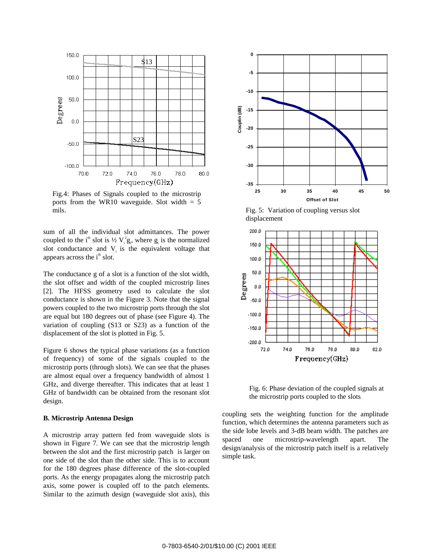

Fig.4: Phases of Signals coupled to the microstrip ports from the WR10 waveguide. Slot width  $= 5$ mils.

sum of all the individual slot admittances. The power coupled to the i<sup>th</sup> slot is  $\frac{1}{2} V_i^2 g_i$ , where  $g_i$  is the normalized slot conductance and  $V_i$  is the equivalent voltage that appears across the  $i<sup>th</sup>$  slot.

The conductance g of a slot is a function of the slot width, the slot offset and width of the coupled microstrip lines [2]. The HFSS geometry used to calculate the slot conductance is shown in the Figure 3. Note that the signal powers coupled to the two microstrip ports through the slot are equal but 180 degrees out of phase (see Figure 4). The variation of coupling (S13 or S23) as a function of the displacement of the slot is plotted in Fig. 5.

Figure 6 shows the typical phase variations (as a function of frequency) of some of the signals coupled to the microstrip ports (through slots). We can see that the phases are almost equal over a frequency bandwidth of almost 1 GHz, and diverge thereafter. This indicates that at least 1 GHz of bandwidth can be obtained from the resonant slot design.

# **B. Microstrip Antenna Design**

A microstrip array pattern fed from waveguide slots is shown in Figure 7. We can see that the microstrip length between the slot and the first microstrip patch is larger on one side of the slot than the other side. This is to account for the 180 degrees phase difference of the slot-coupled ports. As the energy propagates along the microstrip patch axis, some power is coupled off to the patch elements. Similar to the azimuth design (waveguide slot axis), this



Fig. 5: Variation of coupling versus slot displacement



Fig. 6: Phase deviation of the coupled signals at the microstrip ports coupled to the slots

coupling sets the weighting function for the amplitude function, which determines the antenna parameters such as the side lobe levels and 3-dB beam width. The patches are spaced one microstrip-wavelength apart. The design/analysis of the microstrip patch itself is a relatively simple task.